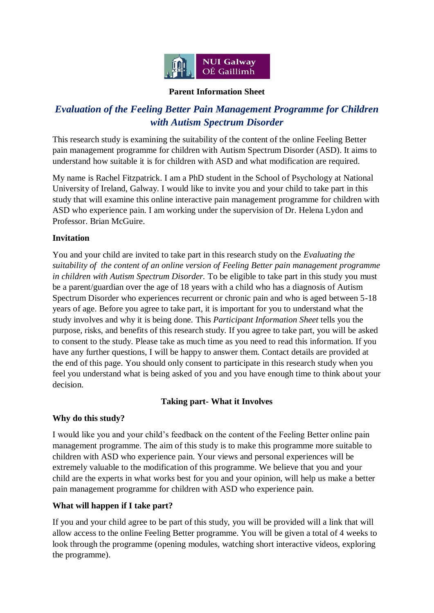

#### **Parent Information Sheet**

# *Evaluation of the Feeling Better Pain Management Programme for Children with Autism Spectrum Disorder*

This research study is examining the suitability of the content of the online Feeling Better pain management programme for children with Autism Spectrum Disorder (ASD). It aims to understand how suitable it is for children with ASD and what modification are required.

My name is Rachel Fitzpatrick. I am a PhD student in the School of Psychology at National University of Ireland, Galway. I would like to invite you and your child to take part in this study that will examine this online interactive pain management programme for children with ASD who experience pain. I am working under the supervision of Dr. Helena Lydon and Professor. Brian McGuire.

# **Invitation**

You and your child are invited to take part in this research study on the *Evaluating the suitability of the content of an online version of Feeling Better pain management programme in children with Autism Spectrum Disorder.* To be eligible to take part in this study you must be a parent/guardian over the age of 18 years with a child who has a diagnosis of Autism Spectrum Disorder who experiences recurrent or chronic pain and who is aged between 5-18 years of age. Before you agree to take part, it is important for you to understand what the study involves and why it is being done. This *Participant Information Sheet* tells you the purpose, risks, and benefits of this research study. If you agree to take part, you will be asked to consent to the study. Please take as much time as you need to read this information. If you have any further questions, I will be happy to answer them. Contact details are provided at the end of this page. You should only consent to participate in this research study when you feel you understand what is being asked of you and you have enough time to think about your decision.

# **Taking part- What it Involves**

## **Why do this study?**

I would like you and your child's feedback on the content of the Feeling Better online pain management programme. The aim of this study is to make this programme more suitable to children with ASD who experience pain. Your views and personal experiences will be extremely valuable to the modification of this programme. We believe that you and your child are the experts in what works best for you and your opinion, will help us make a better pain management programme for children with ASD who experience pain.

## **What will happen if I take part?**

If you and your child agree to be part of this study, you will be provided will a link that will allow access to the online Feeling Better programme. You will be given a total of 4 weeks to look through the programme (opening modules, watching short interactive videos, exploring the programme).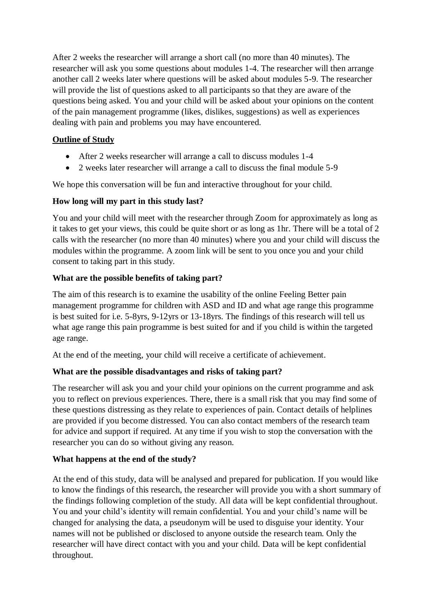After 2 weeks the researcher will arrange a short call (no more than 40 minutes). The researcher will ask you some questions about modules 1-4. The researcher will then arrange another call 2 weeks later where questions will be asked about modules 5-9. The researcher will provide the list of questions asked to all participants so that they are aware of the questions being asked. You and your child will be asked about your opinions on the content of the pain management programme (likes, dislikes, suggestions) as well as experiences dealing with pain and problems you may have encountered.

# **Outline of Study**

- After 2 weeks researcher will arrange a call to discuss modules 1-4
- 2 weeks later researcher will arrange a call to discuss the final module 5-9

We hope this conversation will be fun and interactive throughout for your child.

# **How long will my part in this study last?**

You and your child will meet with the researcher through Zoom for approximately as long as it takes to get your views, this could be quite short or as long as 1hr. There will be a total of 2 calls with the researcher (no more than 40 minutes) where you and your child will discuss the modules within the programme. A zoom link will be sent to you once you and your child consent to taking part in this study.

# **What are the possible benefits of taking part?**

The aim of this research is to examine the usability of the online Feeling Better pain management programme for children with ASD and ID and what age range this programme is best suited for i.e. 5-8yrs, 9-12yrs or 13-18yrs. The findings of this research will tell us what age range this pain programme is best suited for and if you child is within the targeted age range.

At the end of the meeting, your child will receive a certificate of achievement.

# **What are the possible disadvantages and risks of taking part?**

The researcher will ask you and your child your opinions on the current programme and ask you to reflect on previous experiences. There, there is a small risk that you may find some of these questions distressing as they relate to experiences of pain. Contact details of helplines are provided if you become distressed. You can also contact members of the research team for advice and support if required. At any time if you wish to stop the conversation with the researcher you can do so without giving any reason.

# **What happens at the end of the study?**

At the end of this study, data will be analysed and prepared for publication. If you would like to know the findings of this research, the researcher will provide you with a short summary of the findings following completion of the study. All data will be kept confidential throughout. You and your child's identity will remain confidential. You and your child's name will be changed for analysing the data, a pseudonym will be used to disguise your identity. Your names will not be published or disclosed to anyone outside the research team. Only the researcher will have direct contact with you and your child. Data will be kept confidential throughout.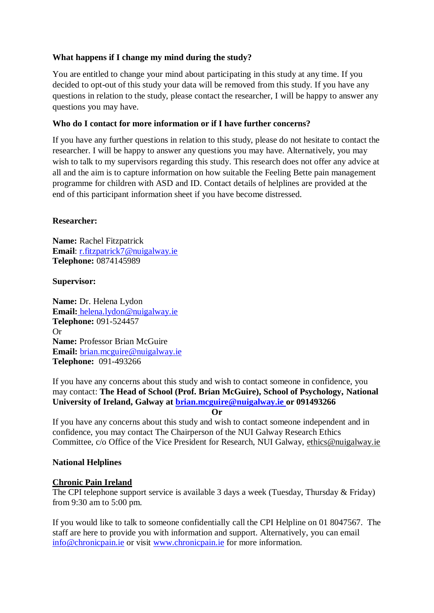# **What happens if I change my mind during the study?**

You are entitled to change your mind about participating in this study at any time. If you decided to opt-out of this study your data will be removed from this study. If you have any questions in relation to the study, please contact the researcher, I will be happy to answer any questions you may have.

# **Who do I contact for more information or if I have further concerns?**

If you have any further questions in relation to this study, please do not hesitate to contact the researcher. I will be happy to answer any questions you may have. Alternatively, you may wish to talk to my supervisors regarding this study. This research does not offer any advice at all and the aim is to capture information on how suitable the Feeling Bette pain management programme for children with ASD and ID. Contact details of helplines are provided at the end of this participant information sheet if you have become distressed.

## **Researcher:**

**Name:** Rachel Fitzpatrick **Email**: [r.fitzpatrick7@nuigalway.ie](mailto:r.fitzpatrick7@nuigalway.ie) **Telephone:** 0874145989

#### **Supervisor:**

**Name:** Dr. Helena Lydon **Email:** [helena.lydon@nuigalway.ie](mailto:%20helena.lydon@nuigalway.ie) **Telephone:** 091-524457 Or **Name:** Professor Brian McGuire **Email:** [brian.mcguire@nuigalway.ie](mailto:brian.mcguire@nuigalway.ie) **Telephone:** 091-493266

If you have any concerns about this study and wish to contact someone in confidence, you may contact: **The Head of School (Prof. Brian McGuire), School of Psychology, National University of Ireland, Galway at [brian.mcguire@nuigalway.ie o](mailto:john.bogue@nuigalway.ie)r 091493266** 

**Or**

If you have any concerns about this study and wish to contact someone independent and in confidence, you may contact The Chairperson of the NUI Galway Research Ethics Committee, c/o Office of the Vice President for Research, NUI Galway, [ethics@nuigalway.ie](mailto:ethics@nuigalway.ie)

## **National Helplines**

#### **Chronic Pain Ireland**

The CPI telephone support service is available 3 days a week (Tuesday, Thursday & Friday) from 9:30 am to 5:00 pm.

If you would like to talk to someone confidentially call the CPI Helpline on 01 8047567. The staff are here to provide you with information and support. Alternatively, you can email [info@chronicpain.ie](mailto:info@chronicpain.ie) or visit [www.chronicpain.ie](http://www.chronicpain.ie/) for more information.